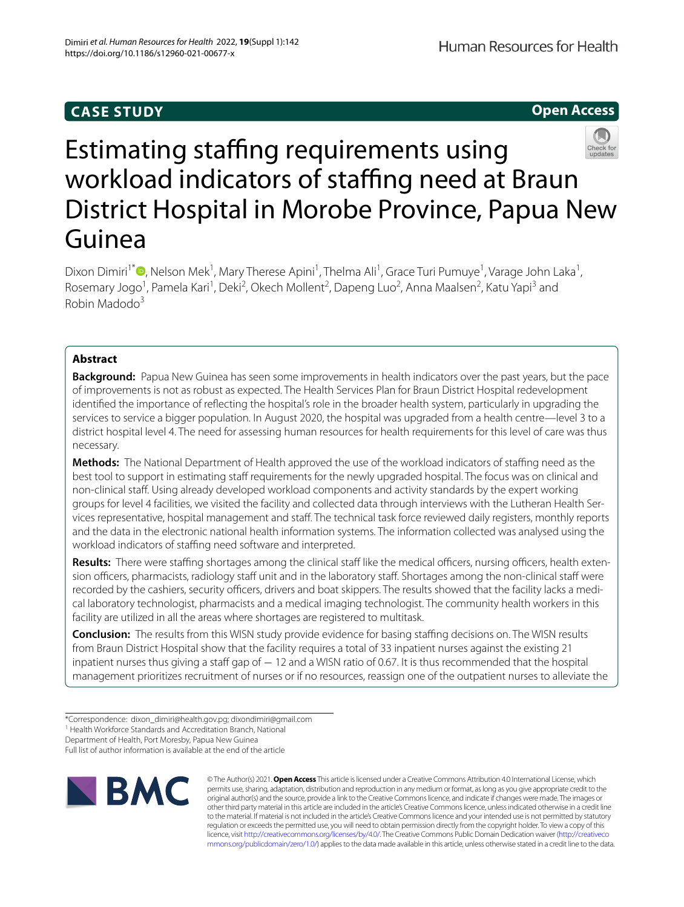## **CASE STUDY**

**Open Access**



# Estimating staffing requirements using workload indicators of staffing need at Braun District Hospital in Morobe Province, Papua New Guinea

Dixon Dimiri<sup>1\*</sup><sup>®</sup>[,](http://orcid.org/0000-0002-0199-5914) Nelson Mek<sup>1</sup>, Mary Therese Apini<sup>1</sup>, Thelma Ali<sup>1</sup>, Grace Turi Pumuye<sup>1</sup>, Varage John Laka<sup>1</sup>, Rosemary Jogo<sup>1</sup>, Pamela Kari<sup>1</sup>, Deki<sup>2</sup>, Okech Mollent<sup>2</sup>, Dapeng Luo<sup>2</sup>, Anna Maalsen<sup>2</sup>, Katu Yapi<sup>3</sup> and Robin Madodo3

## **Abstract**

**Background:** Papua New Guinea has seen some improvements in health indicators over the past years, but the pace of improvements is not as robust as expected. The Health Services Plan for Braun District Hospital redevelopment identifed the importance of refecting the hospital's role in the broader health system, particularly in upgrading the services to service a bigger population. In August 2020, the hospital was upgraded from a health centre—level 3 to a district hospital level 4. The need for assessing human resources for health requirements for this level of care was thus necessary.

**Methods:** The National Department of Health approved the use of the workload indicators of stafng need as the best tool to support in estimating staf requirements for the newly upgraded hospital. The focus was on clinical and non-clinical staf. Using already developed workload components and activity standards by the expert working groups for level 4 facilities, we visited the facility and collected data through interviews with the Lutheran Health Services representative, hospital management and staf. The technical task force reviewed daily registers, monthly reports and the data in the electronic national health information systems. The information collected was analysed using the workload indicators of staffing need software and interpreted.

Results: There were staffing shortages among the clinical staff like the medical officers, nursing officers, health extension officers, pharmacists, radiology staff unit and in the laboratory staff. Shortages among the non-clinical staff were recorded by the cashiers, security officers, drivers and boat skippers. The results showed that the facility lacks a medical laboratory technologist, pharmacists and a medical imaging technologist. The community health workers in this facility are utilized in all the areas where shortages are registered to multitask.

**Conclusion:** The results from this WISN study provide evidence for basing staffing decisions on. The WISN results from Braun District Hospital show that the facility requires a total of 33 inpatient nurses against the existing 21 inpatient nurses thus giving a staff gap of − 12 and a WISN ratio of 0.67. It is thus recommended that the hospital management prioritizes recruitment of nurses or if no resources, reassign one of the outpatient nurses to alleviate the

Department of Health, Port Moresby, Papua New Guinea

Full list of author information is available at the end of the article



© The Author(s) 2021. **Open Access** This article is licensed under a Creative Commons Attribution 4.0 International License, which permits use, sharing, adaptation, distribution and reproduction in any medium or format, as long as you give appropriate credit to the original author(s) and the source, provide a link to the Creative Commons licence, and indicate if changes were made. The images or other third party material in this article are included in the article's Creative Commons licence, unless indicated otherwise in a credit line to the material. If material is not included in the article's Creative Commons licence and your intended use is not permitted by statutory regulation or exceeds the permitted use, you will need to obtain permission directly from the copyright holder. To view a copy of this licence, visit [http://creativecommons.org/licenses/by/4.0/.](http://creativecommons.org/licenses/by/4.0/) The Creative Commons Public Domain Dedication waiver ([http://creativeco](http://creativecommons.org/publicdomain/zero/1.0/) [mmons.org/publicdomain/zero/1.0/](http://creativecommons.org/publicdomain/zero/1.0/)) applies to the data made available in this article, unless otherwise stated in a credit line to the data.

<sup>\*</sup>Correspondence: dixon\_dimiri@health.gov.pg; dixondimiri@gmail.com

<sup>&</sup>lt;sup>1</sup> Health Workforce Standards and Accreditation Branch, National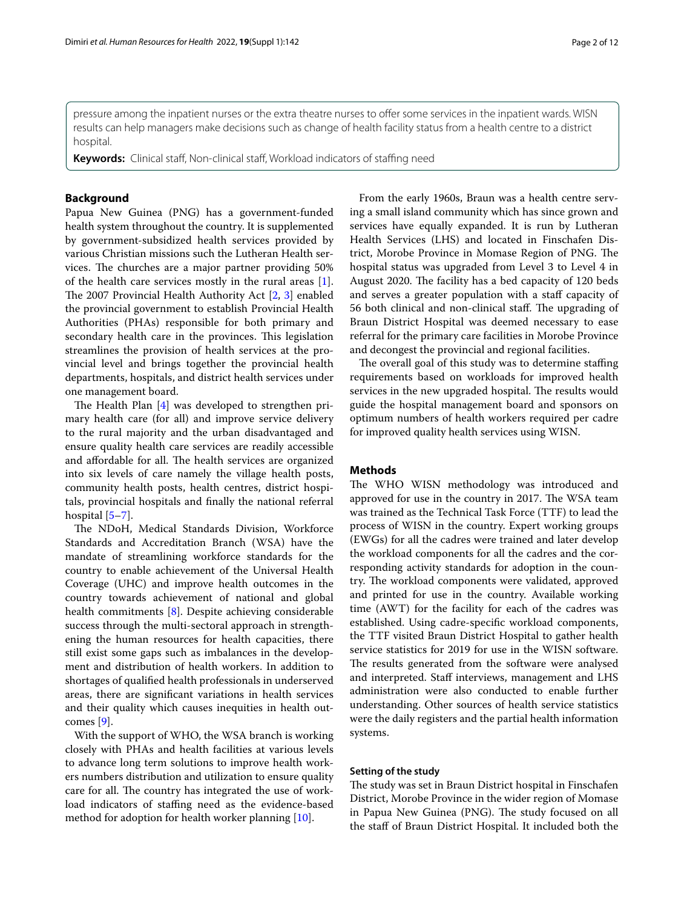pressure among the inpatient nurses or the extra theatre nurses to offer some services in the inpatient wards. WISN results can help managers make decisions such as change of health facility status from a health centre to a district hospital.

**Keywords:** Clinical staf, Non-clinical staf, Workload indicators of stafng need

#### **Background**

Papua New Guinea (PNG) has a government-funded health system throughout the country. It is supplemented by government-subsidized health services provided by various Christian missions such the Lutheran Health services. The churches are a major partner providing 50% of the health care services mostly in the rural areas [\[1](#page-11-0)]. The 2007 Provincial Health Authority Act  $[2, 3]$  $[2, 3]$  $[2, 3]$  $[2, 3]$  enabled the provincial government to establish Provincial Health Authorities (PHAs) responsible for both primary and secondary health care in the provinces. This legislation streamlines the provision of health services at the provincial level and brings together the provincial health departments, hospitals, and district health services under one management board.

The Health Plan  $[4]$  $[4]$  was developed to strengthen primary health care (for all) and improve service delivery to the rural majority and the urban disadvantaged and ensure quality health care services are readily accessible and affordable for all. The health services are organized into six levels of care namely the village health posts, community health posts, health centres, district hospitals, provincial hospitals and fnally the national referral hospital [[5–](#page-11-4)[7\]](#page-11-5).

The NDoH, Medical Standards Division, Workforce Standards and Accreditation Branch (WSA) have the mandate of streamlining workforce standards for the country to enable achievement of the Universal Health Coverage (UHC) and improve health outcomes in the country towards achievement of national and global health commitments [[8\]](#page-11-6). Despite achieving considerable success through the multi-sectoral approach in strengthening the human resources for health capacities, there still exist some gaps such as imbalances in the development and distribution of health workers. In addition to shortages of qualifed health professionals in underserved areas, there are signifcant variations in health services and their quality which causes inequities in health outcomes [\[9](#page-11-7)].

With the support of WHO, the WSA branch is working closely with PHAs and health facilities at various levels to advance long term solutions to improve health workers numbers distribution and utilization to ensure quality care for all. The country has integrated the use of workload indicators of staffing need as the evidence-based method for adoption for health worker planning [[10](#page-11-8)].

From the early 1960s, Braun was a health centre serving a small island community which has since grown and services have equally expanded. It is run by Lutheran Health Services (LHS) and located in Finschafen District, Morobe Province in Momase Region of PNG. The hospital status was upgraded from Level 3 to Level 4 in August 2020. The facility has a bed capacity of 120 beds and serves a greater population with a staf capacity of 56 both clinical and non-clinical staff. The upgrading of Braun District Hospital was deemed necessary to ease referral for the primary care facilities in Morobe Province and decongest the provincial and regional facilities.

The overall goal of this study was to determine staffing requirements based on workloads for improved health services in the new upgraded hospital. The results would guide the hospital management board and sponsors on optimum numbers of health workers required per cadre for improved quality health services using WISN.

#### **Methods**

The WHO WISN methodology was introduced and approved for use in the country in 2017. The WSA team was trained as the Technical Task Force (TTF) to lead the process of WISN in the country. Expert working groups (EWGs) for all the cadres were trained and later develop the workload components for all the cadres and the corresponding activity standards for adoption in the country. The workload components were validated, approved and printed for use in the country. Available working time (AWT) for the facility for each of the cadres was established. Using cadre-specifc workload components, the TTF visited Braun District Hospital to gather health service statistics for 2019 for use in the WISN software. The results generated from the software were analysed and interpreted. Staff interviews, management and LHS administration were also conducted to enable further understanding. Other sources of health service statistics were the daily registers and the partial health information systems.

#### **Setting of the study**

The study was set in Braun District hospital in Finschafen District, Morobe Province in the wider region of Momase in Papua New Guinea (PNG). The study focused on all the staf of Braun District Hospital. It included both the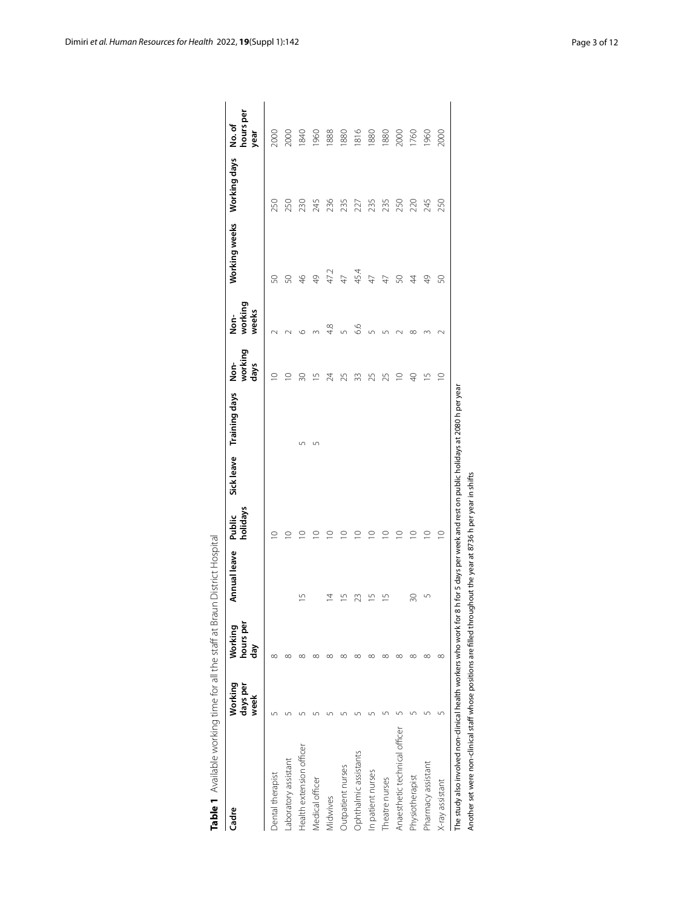| Cadre                         | Working<br>days per<br>week | hours per<br>Working<br>day | Annual leave  | holidays<br>Public | Sick leave Training days | working<br><u>ģ</u><br>days | working<br>weeks<br>ion<br>Mor | Working weeks Working days |     | hours per<br>No.of<br>year |
|-------------------------------|-----------------------------|-----------------------------|---------------|--------------------|--------------------------|-----------------------------|--------------------------------|----------------------------|-----|----------------------------|
| Dental therapist              |                             | $\infty$                    |               | $\circ$            |                          | $\supseteq$                 |                                | 8                          | 250 | 2000                       |
| aboratory assistant           |                             | $\infty$                    |               |                    |                          | $\circ$                     |                                | 8                          | 250 | 2000                       |
| Health extension officer      |                             | ∞                           | 15            | $\circ$            | Ľ                        | 20                          |                                | $\frac{4}{5}$              | 230 | 1840                       |
| Medical officer               |                             | ∞                           |               | $\circ$            | 5                        | $\overline{\phantom{0}}$    |                                | \$                         | 245 | 1960                       |
| Midwives                      |                             | ∝                           |               | $\subseteq$        |                          | 24                          | $\frac{8}{4}$                  | 47.2                       | 236 | 1888                       |
| Outpatient nurses             |                             | $\infty$                    |               | $\subseteq$        |                          | 25                          |                                | $\overline{47}$            | 235 | 1880                       |
| Ophthalmic assistants         |                             | ∞                           | ಙ             | ⊇                  |                          | 33                          | 6.6                            | 45.4                       | 227 | 1816                       |
| In patient nurses             |                             | $\infty$                    |               | $\subseteq$        |                          | 25                          |                                | $\overline{47}$            | 235 | 1880                       |
| Theatre nurses                |                             | $\infty$                    | $\frac{5}{1}$ | $\subseteq$        |                          | 25                          |                                | $\overline{4}$             | 235 | 1880                       |
| Anaesthetic technical officer |                             | $\infty$                    |               | $\circ$            |                          | $\subseteq$                 |                                | 8                          | 250 | 2000                       |
| Physiotherapist               |                             | ∞                           | 30            | $\subseteq$        |                          | Ş                           |                                | 4                          | 220 | 1760                       |
| Pharmacy assistant            |                             | $\infty$                    |               | $\supseteq$        |                          | $\overline{1}$              |                                | \$                         | 245 | 1960                       |
| X-ray assistant               |                             | $\infty$                    |               | $\circ$            |                          | $\supseteq$                 |                                | S                          | 250 | 2000                       |

<span id="page-2-0"></span>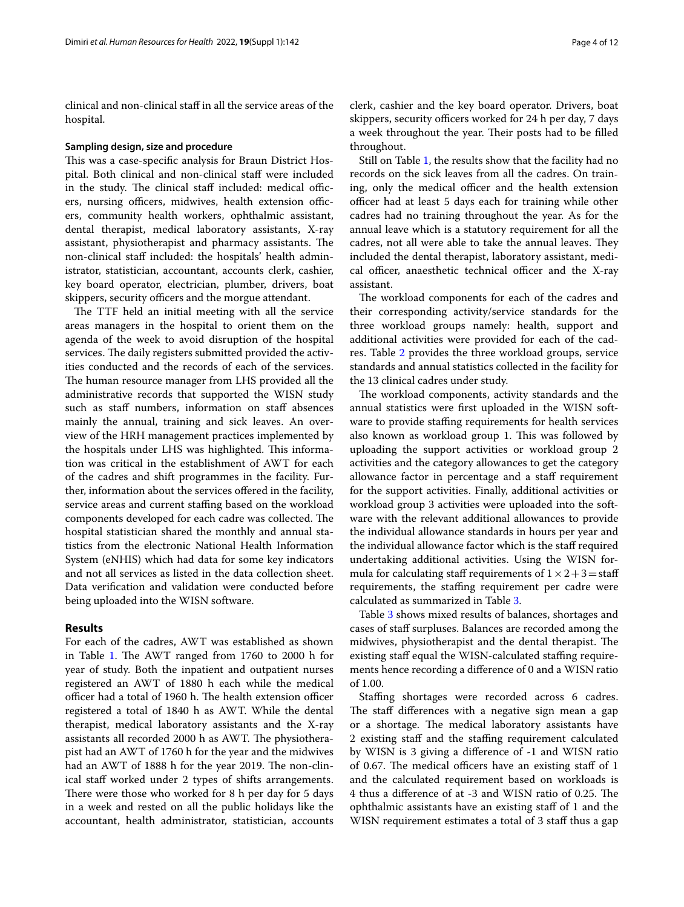clinical and non-clinical staf in all the service areas of the hospital.

#### **Sampling design, size and procedure**

This was a case-specific analysis for Braun District Hospital. Both clinical and non-clinical staf were included in the study. The clinical staff included: medical officers, nursing officers, midwives, health extension officers, community health workers, ophthalmic assistant, dental therapist, medical laboratory assistants, X-ray assistant, physiotherapist and pharmacy assistants. The non-clinical staf included: the hospitals' health administrator, statistician, accountant, accounts clerk, cashier, key board operator, electrician, plumber, drivers, boat skippers, security officers and the morgue attendant.

The TTF held an initial meeting with all the service areas managers in the hospital to orient them on the agenda of the week to avoid disruption of the hospital services. The daily registers submitted provided the activities conducted and the records of each of the services. The human resource manager from LHS provided all the administrative records that supported the WISN study such as staff numbers, information on staff absences mainly the annual, training and sick leaves. An overview of the HRH management practices implemented by the hospitals under LHS was highlighted. This information was critical in the establishment of AWT for each of the cadres and shift programmes in the facility. Further, information about the services ofered in the facility, service areas and current staffing based on the workload components developed for each cadre was collected. The hospital statistician shared the monthly and annual statistics from the electronic National Health Information System (eNHIS) which had data for some key indicators and not all services as listed in the data collection sheet. Data verifcation and validation were conducted before being uploaded into the WISN software.

#### **Results**

For each of the cadres, AWT was established as shown in Table [1](#page-2-0). The AWT ranged from 1760 to 2000 h for year of study. Both the inpatient and outpatient nurses registered an AWT of 1880 h each while the medical officer had a total of 1960 h. The health extension officer registered a total of 1840 h as AWT. While the dental therapist, medical laboratory assistants and the X-ray assistants all recorded 2000 h as AWT. The physiotherapist had an AWT of 1760 h for the year and the midwives had an AWT of 1888 h for the year 2019. The non-clinical staf worked under 2 types of shifts arrangements. There were those who worked for 8 h per day for 5 days in a week and rested on all the public holidays like the accountant, health administrator, statistician, accounts clerk, cashier and the key board operator. Drivers, boat skippers, security officers worked for 24 h per day, 7 days a week throughout the year. Their posts had to be filled throughout.

Still on Table [1,](#page-2-0) the results show that the facility had no records on the sick leaves from all the cadres. On training, only the medical officer and the health extension officer had at least 5 days each for training while other cadres had no training throughout the year. As for the annual leave which is a statutory requirement for all the cadres, not all were able to take the annual leaves. They included the dental therapist, laboratory assistant, medical officer, anaesthetic technical officer and the X-ray assistant.

The workload components for each of the cadres and their corresponding activity/service standards for the three workload groups namely: health, support and additional activities were provided for each of the cadres. Table [2](#page-4-0) provides the three workload groups, service standards and annual statistics collected in the facility for the 13 clinical cadres under study.

The workload components, activity standards and the annual statistics were frst uploaded in the WISN software to provide staffing requirements for health services also known as workload group 1. This was followed by uploading the support activities or workload group 2 activities and the category allowances to get the category allowance factor in percentage and a staf requirement for the support activities. Finally, additional activities or workload group 3 activities were uploaded into the software with the relevant additional allowances to provide the individual allowance standards in hours per year and the individual allowance factor which is the staff required undertaking additional activities. Using the WISN formula for calculating staff requirements of  $1 \times 2 + 3 =$ staff requirements, the staffing requirement per cadre were calculated as summarized in Table [3](#page-8-0).

Table [3](#page-8-0) shows mixed results of balances, shortages and cases of staf surpluses. Balances are recorded among the midwives, physiotherapist and the dental therapist. The existing staff equal the WISN-calculated staffing requirements hence recording a diference of 0 and a WISN ratio of 1.00.

Stafng shortages were recorded across 6 cadres. The staff differences with a negative sign mean a gap or a shortage. The medical laboratory assistants have 2 existing staff and the staffing requirement calculated by WISN is 3 giving a diference of -1 and WISN ratio of 0.67. The medical officers have an existing staff of  $1$ and the calculated requirement based on workloads is 4 thus a difference of at -3 and WISN ratio of 0.25. The ophthalmic assistants have an existing staf of 1 and the WISN requirement estimates a total of 3 staff thus a gap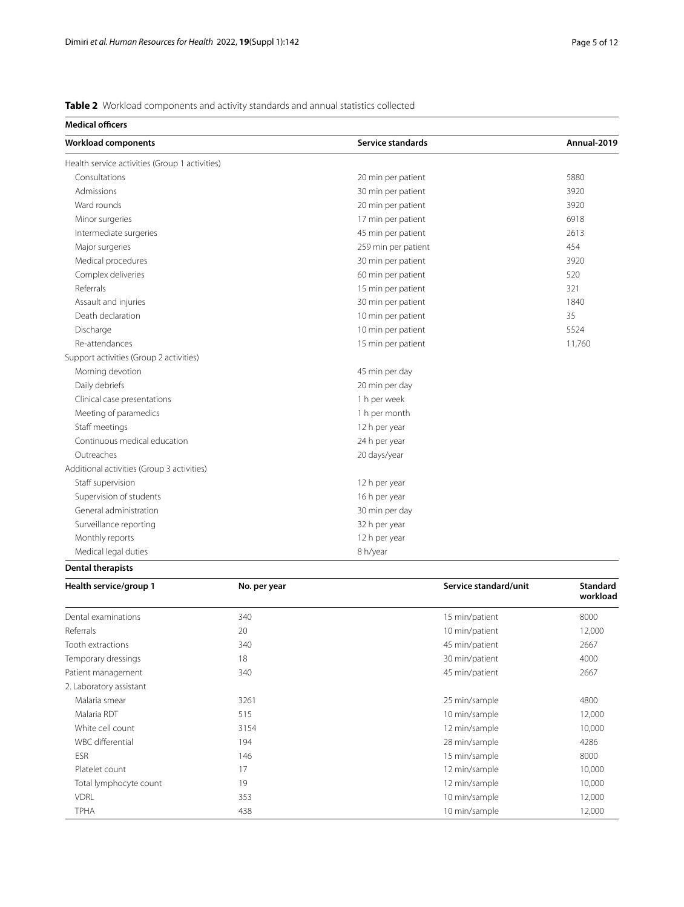<span id="page-4-0"></span>**Table 2** Workload components and activity standards and annual statistics collected

| <b>Medical officers</b>                        |                          |             |
|------------------------------------------------|--------------------------|-------------|
| Workload components                            | <b>Service standards</b> | Annual-2019 |
| Health service activities (Group 1 activities) |                          |             |
| Consultations                                  | 20 min per patient       | 5880        |
| Admissions                                     | 30 min per patient       | 3920        |
| Ward rounds                                    | 20 min per patient       | 3920        |
| Minor surgeries                                | 17 min per patient       | 6918        |
| Intermediate surgeries                         | 45 min per patient       | 2613        |
| Major surgeries                                | 259 min per patient      | 454         |
| Medical procedures                             | 30 min per patient       | 3920        |
| Complex deliveries                             | 60 min per patient       | 520         |
| Referrals                                      | 15 min per patient       | 321         |
| Assault and injuries                           | 30 min per patient       | 1840        |
| Death declaration                              | 10 min per patient       | 35          |
| Discharge                                      | 10 min per patient       | 5524        |
| Re-attendances                                 | 15 min per patient       | 11,760      |
| Support activities (Group 2 activities)        |                          |             |
| Morning devotion                               | 45 min per day           |             |
| Daily debriefs                                 | 20 min per day           |             |
| Clinical case presentations                    | 1 h per week             |             |
| Meeting of paramedics                          | 1 h per month            |             |
| Staff meetings                                 | 12 h per year            |             |
| Continuous medical education                   | 24 h per year            |             |
| Outreaches                                     | 20 days/year             |             |
| Additional activities (Group 3 activities)     |                          |             |
| Staff supervision                              | 12 h per year            |             |
| Supervision of students                        | 16 h per year            |             |
| General administration                         | 30 min per day           |             |
| Surveillance reporting                         | 32 h per year            |             |
| Monthly reports                                | 12 h per year            |             |
| Medical legal duties                           | 8 h/year                 |             |

**Dental therapists**

| Health service/group 1  | No. per year | Service standard/unit | <b>Standard</b><br>workload |
|-------------------------|--------------|-----------------------|-----------------------------|
| Dental examinations     | 340          | 15 min/patient        | 8000                        |
| Referrals               | 20           | 10 min/patient        | 12,000                      |
| Tooth extractions       | 340          | 45 min/patient        | 2667                        |
| Temporary dressings     | 18           | 30 min/patient        | 4000                        |
| Patient management      | 340          | 45 min/patient        | 2667                        |
| 2. Laboratory assistant |              |                       |                             |
| Malaria smear           | 3261         | 25 min/sample         | 4800                        |
| Malaria RDT             | 515          | 10 min/sample         | 12,000                      |
| White cell count        | 3154         | 12 min/sample         | 10,000                      |
| WBC differential        | 194          | 28 min/sample         | 4286                        |
| <b>ESR</b>              | 146          | 15 min/sample         | 8000                        |
| Platelet count          | 17           | 12 min/sample         | 10,000                      |
| Total lymphocyte count  | 19           | 12 min/sample         | 10,000                      |
| <b>VDRL</b>             | 353          | 10 min/sample         | 12,000                      |
| TPHA                    | 438          | 10 min/sample         | 12,000                      |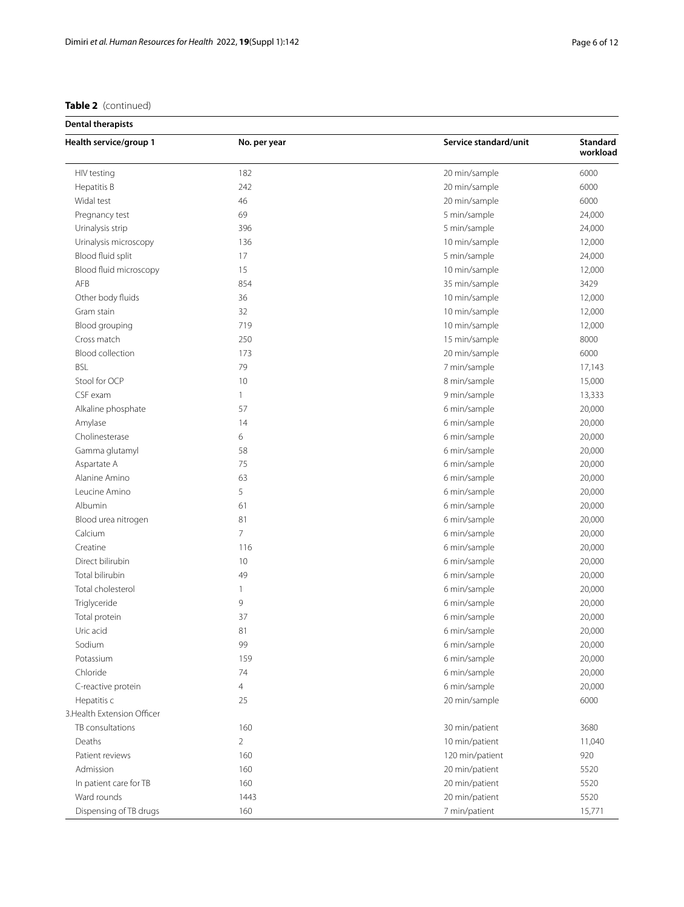## **Table 2** (continued)

| <b>Dental therapists</b> |  |  |
|--------------------------|--|--|
|--------------------------|--|--|

| Health service/group 1      | No. per year   | Service standard/unit | Standard<br>workload |
|-----------------------------|----------------|-----------------------|----------------------|
| HIV testing                 | 182            | 20 min/sample         | 6000                 |
| Hepatitis B                 | 242            | 20 min/sample         | 6000                 |
| Widal test                  | 46             | 20 min/sample         | 6000                 |
| Pregnancy test              | 69             | 5 min/sample          | 24,000               |
| Urinalysis strip            | 396            | 5 min/sample          | 24,000               |
| Urinalysis microscopy       | 136            | 10 min/sample         | 12,000               |
| Blood fluid split           | 17             | 5 min/sample          | 24,000               |
| Blood fluid microscopy      | 15             | 10 min/sample         | 12,000               |
| AFB                         | 854            | 35 min/sample         | 3429                 |
| Other body fluids           | 36             | 10 min/sample         | 12,000               |
| Gram stain                  | 32             | 10 min/sample         | 12,000               |
| Blood grouping              | 719            | 10 min/sample         | 12,000               |
| Cross match                 | 250            | 15 min/sample         | 8000                 |
| Blood collection            | 173            | 20 min/sample         | 6000                 |
| <b>BSL</b>                  | 79             | 7 min/sample          | 17,143               |
| Stool for OCP               | 10             | 8 min/sample          | 15,000               |
| CSF exam                    | $\mathbf{1}$   | 9 min/sample          | 13,333               |
| Alkaline phosphate          | 57             | 6 min/sample          | 20,000               |
| Amylase                     | 14             | 6 min/sample          | 20,000               |
| Cholinesterase              | 6              | 6 min/sample          | 20,000               |
| Gamma glutamyl              | 58             | 6 min/sample          | 20,000               |
| Aspartate A                 | 75             | 6 min/sample          | 20,000               |
| Alanine Amino               | 63             | 6 min/sample          | 20,000               |
| Leucine Amino               | 5              | 6 min/sample          | 20,000               |
| Albumin                     | 61             | 6 min/sample          | 20,000               |
| Blood urea nitrogen         | 81             | 6 min/sample          | 20,000               |
| Calcium                     | $\overline{7}$ | 6 min/sample          | 20,000               |
| Creatine                    | 116            | 6 min/sample          | 20,000               |
| Direct bilirubin            | 10             | 6 min/sample          | 20,000               |
| Total bilirubin             | 49             | 6 min/sample          | 20,000               |
| Total cholesterol           | $\mathbf{1}$   | 6 min/sample          | 20,000               |
| Triglyceride                | 9              | 6 min/sample          | 20,000               |
| Total protein               | 37             | 6 min/sample          | 20,000               |
| Uric acid                   | 81             | 6 min/sample          | 20,000               |
| Sodium                      | 99             | 6 min/sample          | 20,000               |
| Potassium                   | 159            | 6 min/sample          | 20,000               |
| Chloride                    | 74             | 6 min/sample          | 20,000               |
| C-reactive protein          | $\overline{4}$ | 6 min/sample          | 20,000               |
| Hepatitis c                 | 25             | 20 min/sample         | 6000                 |
| 3. Health Extension Officer |                |                       |                      |
| TB consultations            | 160            | 30 min/patient        | 3680                 |
| Deaths                      | $\overline{2}$ | 10 min/patient        | 11,040               |
| Patient reviews             | 160            | 120 min/patient       | 920                  |
| Admission                   | 160            | 20 min/patient        | 5520                 |
| In patient care for TB      | 160            | 20 min/patient        | 5520                 |
| Ward rounds                 | 1443           | 20 min/patient        | 5520                 |
| Dispensing of TB drugs      | 160            | 7 min/patient         | 15,771               |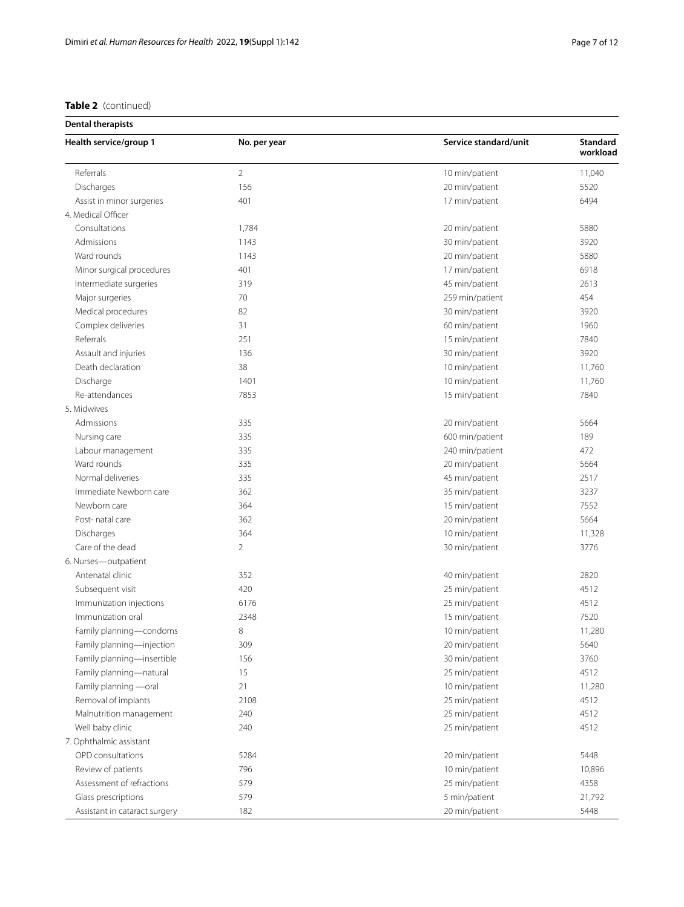## **Table 2** (continued)

| Health service/group 1        | No. per year   | Service standard/unit | Standard<br>workload |
|-------------------------------|----------------|-----------------------|----------------------|
| Referrals                     | $\overline{2}$ | 10 min/patient        | 11,040               |
| Discharges                    | 156            | 20 min/patient        | 5520                 |
| Assist in minor surgeries     | 401            | 17 min/patient        | 6494                 |
| 4. Medical Officer            |                |                       |                      |
| Consultations                 | 1,784          | 20 min/patient        | 5880                 |
| Admissions                    | 1143           | 30 min/patient        | 3920                 |
| Ward rounds                   | 1143           | 20 min/patient        | 5880                 |
| Minor surgical procedures     | 401            | 17 min/patient        | 6918                 |
| Intermediate surgeries        | 319            | 45 min/patient        | 2613                 |
| Major surgeries               | 70             | 259 min/patient       | 454                  |
| Medical procedures            | 82             | 30 min/patient        | 3920                 |
| Complex deliveries            | 31             | 60 min/patient        | 1960                 |
| Referrals                     | 251            | 15 min/patient        | 7840                 |
| Assault and injuries          | 136            | 30 min/patient        | 3920                 |
| Death declaration             | 38             | 10 min/patient        | 11,760               |
| Discharge                     | 1401           | 10 min/patient        | 11,760               |
| Re-attendances                | 7853           | 15 min/patient        | 7840                 |
| 5. Midwives                   |                |                       |                      |
| Admissions                    | 335            | 20 min/patient        | 5664                 |
| Nursing care                  | 335            | 600 min/patient       | 189                  |
| Labour management             | 335            | 240 min/patient       | 472                  |
| Ward rounds                   | 335            | 20 min/patient        | 5664                 |
| Normal deliveries             | 335            | 45 min/patient        | 2517                 |
| Immediate Newborn care        | 362            | 35 min/patient        | 3237                 |
| Newborn care                  | 364            | 15 min/patient        | 7552                 |
| Post- natal care              | 362            | 20 min/patient        | 5664                 |
| Discharges                    | 364            | 10 min/patient        | 11,328               |
| Care of the dead              | $\overline{2}$ | 30 min/patient        | 3776                 |
| 6. Nurses-outpatient          |                |                       |                      |
| Antenatal clinic              | 352            | 40 min/patient        | 2820                 |
| Subsequent visit              | 420            | 25 min/patient        | 4512                 |
| Immunization injections       | 6176           | 25 min/patient        | 4512                 |
| Immunization oral             | 2348           | 15 min/patient        | 7520                 |
| Family planning-condoms       | 8              | 10 min/patient        | 11,280               |
| Family planning-injection     | 309            | 20 min/patient        | 5640                 |
| Family planning-insertible    | 156            | 30 min/patient        | 3760                 |
| Family planning-natural       | 15             | 25 min/patient        | 4512                 |
| Family planning -oral         | 21             | 10 min/patient        | 11,280               |
| Removal of implants           | 2108           | 25 min/patient        | 4512                 |
| Malnutrition management       | 240            | 25 min/patient        | 4512                 |
| Well baby clinic              | 240            | 25 min/patient        | 4512                 |
| 7. Ophthalmic assistant       |                |                       |                      |
| OPD consultations             | 5284           | 20 min/patient        | 5448                 |
| Review of patients            | 796            | 10 min/patient        | 10,896               |
| Assessment of refractions     | 579            |                       | 4358                 |
|                               | 579            | 25 min/patient        |                      |
| Glass prescriptions           |                | 5 min/patient         | 21,792               |
| Assistant in cataract surgery | 182            | 20 min/patient        | 5448                 |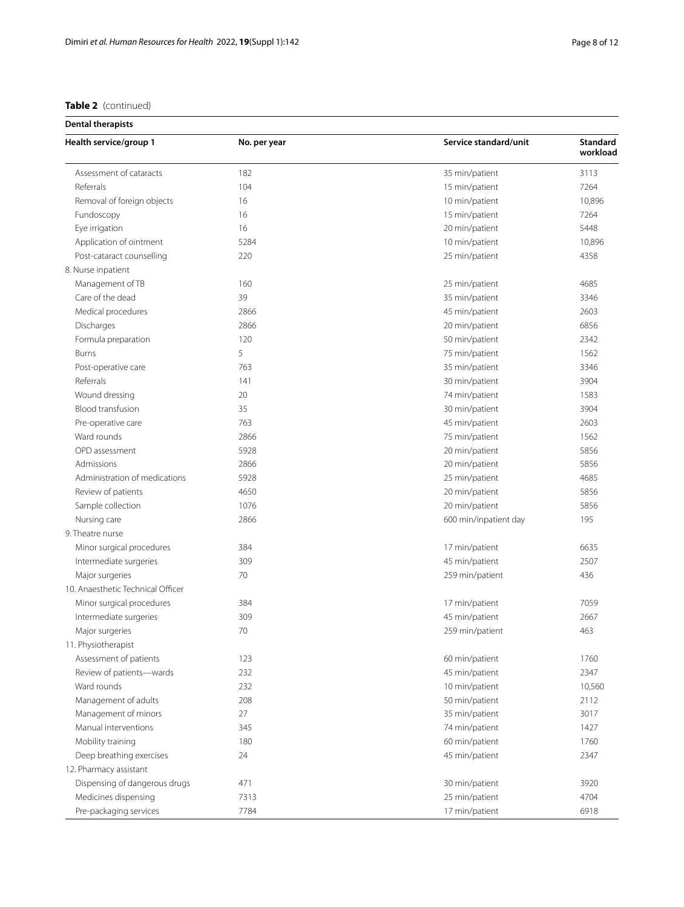| <b>Table 2</b> (continued) |  |
|----------------------------|--|
|                            |  |

| <b>Dental therapists</b>          |              |                       |                             |
|-----------------------------------|--------------|-----------------------|-----------------------------|
| Health service/group 1            | No. per year | Service standard/unit | <b>Standard</b><br>workload |
| Assessment of cataracts           | 182          | 35 min/patient        | 3113                        |
| Referrals                         | 104          | 15 min/patient        | 7264                        |
| Removal of foreign objects        | 16           | 10 min/patient        | 10,896                      |
| Fundoscopy                        | 16           | 15 min/patient        | 7264                        |
| Eye irrigation                    | 16           | 20 min/patient        | 5448                        |
| Application of ointment           | 5284         | 10 min/patient        | 10,896                      |
| Post-cataract counselling         | 220          | 25 min/patient        | 4358                        |
| 8. Nurse inpatient                |              |                       |                             |
| Management of TB                  | 160          | 25 min/patient        | 4685                        |
| Care of the dead                  | 39           | 35 min/patient        | 3346                        |
| Medical procedures                | 2866         | 45 min/patient        | 2603                        |
| Discharges                        | 2866         | 20 min/patient        | 6856                        |
| Formula preparation               | 120          | 50 min/patient        | 2342                        |
| <b>Burns</b>                      | 5            | 75 min/patient        | 1562                        |
| Post-operative care               | 763          | 35 min/patient        | 3346                        |
| Referrals                         | 141          | 30 min/patient        | 3904                        |
| Wound dressing                    | 20           | 74 min/patient        | 1583                        |
| Blood transfusion                 | 35           | 30 min/patient        | 3904                        |
| Pre-operative care                | 763          | 45 min/patient        | 2603                        |
| Ward rounds                       | 2866         | 75 min/patient        | 1562                        |
| OPD assessment                    | 5928         | 20 min/patient        | 5856                        |
| Admissions                        | 2866         | 20 min/patient        | 5856                        |
| Administration of medications     | 5928         | 25 min/patient        | 4685                        |
| Review of patients                | 4650         | 20 min/patient        | 5856                        |
| Sample collection                 | 1076         | 20 min/patient        | 5856                        |
| Nursing care                      | 2866         | 600 min/inpatient day | 195                         |
| 9. Theatre nurse                  |              |                       |                             |
| Minor surgical procedures         | 384          | 17 min/patient        | 6635                        |
| Intermediate surgeries            | 309          | 45 min/patient        | 2507                        |
| Major surgeries                   | 70           | 259 min/patient       | 436                         |
| 10. Anaesthetic Technical Officer |              |                       |                             |
| Minor surgical procedures         | 384          | 17 min/patient        | 7059                        |
| Intermediate surgeries            | 309          | 45 min/patient        | 2667                        |
| Major surgeries                   | 70           | 259 min/patient       | 463                         |
| 11. Physiotherapist               |              |                       |                             |
| Assessment of patients            | 123          | 60 min/patient        | 1760                        |
| Review of patients-wards          | 232          | 45 min/patient        | 2347                        |
| Ward rounds                       | 232          | 10 min/patient        | 10,560                      |
| Management of adults              | 208          | 50 min/patient        | 2112                        |
| Management of minors              | 27           | 35 min/patient        | 3017                        |
| Manual interventions              | 345          | 74 min/patient        | 1427                        |
| Mobility training                 | 180          | 60 min/patient        | 1760                        |
| Deep breathing exercises          | 24           | 45 min/patient        | 2347                        |
| 12. Pharmacy assistant            |              |                       |                             |
| Dispensing of dangerous drugs     | 471          | 30 min/patient        | 3920                        |
| Medicines dispensing              | 7313         | 25 min/patient        | 4704                        |
| Pre-packaging services            | 7784         | 17 min/patient        | 6918                        |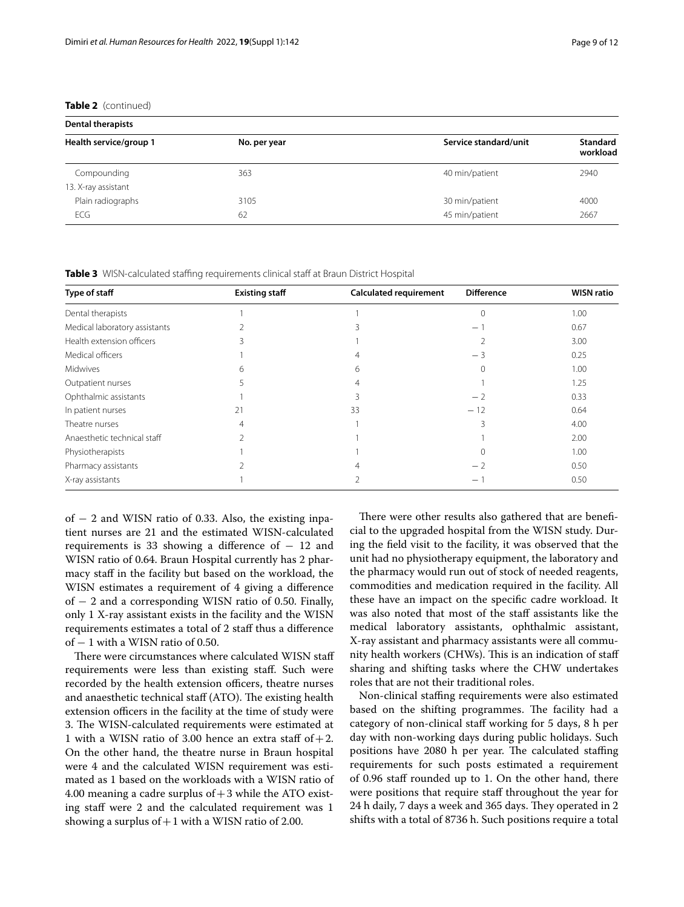**Table 2** (continued)

| <b>Dental therapists</b> |              |                       |                             |
|--------------------------|--------------|-----------------------|-----------------------------|
| Health service/group 1   | No. per year | Service standard/unit | <b>Standard</b><br>workload |
| Compounding              | 363          | 40 min/patient        | 2940                        |
| 13. X-ray assistant      |              |                       |                             |
| Plain radiographs        | 3105         | 30 min/patient        | 4000                        |
| <b>ECG</b>               | 62           | 45 min/patient        | 2667                        |

<span id="page-8-0"></span>**Table 3** WISN-calculated staffing requirements clinical staff at Braun District Hospital

| Type of staff                 | <b>Existing staff</b> | <b>Calculated requirement</b> | <b>Difference</b> | <b>WISN ratio</b> |
|-------------------------------|-----------------------|-------------------------------|-------------------|-------------------|
| Dental therapists             |                       |                               |                   | 1.00              |
| Medical laboratory assistants |                       |                               | $\qquad \qquad -$ | 0.67              |
| Health extension officers     |                       |                               |                   | 3.00              |
| Medical officers              |                       |                               | $-3$              | 0.25              |
| Midwives                      | h                     | <sub>b</sub>                  |                   | 1.00              |
| Outpatient nurses             |                       |                               |                   | 1.25              |
| Ophthalmic assistants         |                       |                               | $-2$              | 0.33              |
| In patient nurses             | 21                    | 33                            | $-12$             | 0.64              |
| Theatre nurses                | 4                     |                               |                   | 4.00              |
| Anaesthetic technical staff   |                       |                               |                   | 2.00              |
| Physiotherapists              |                       |                               |                   | 1.00              |
| Pharmacy assistants           |                       |                               | - 2               | 0.50              |
| X-ray assistants              |                       |                               | -                 | 0.50              |

of − 2 and WISN ratio of 0.33. Also, the existing inpatient nurses are 21 and the estimated WISN-calculated requirements is 33 showing a difference of  $-12$  and WISN ratio of 0.64. Braun Hospital currently has 2 pharmacy staff in the facility but based on the workload, the WISN estimates a requirement of 4 giving a diference of − 2 and a corresponding WISN ratio of 0.50. Finally, only 1 X-ray assistant exists in the facility and the WISN requirements estimates a total of 2 staf thus a diference of − 1 with a WISN ratio of 0.50.

There were circumstances where calculated WISN staff requirements were less than existing staf. Such were recorded by the health extension officers, theatre nurses and anaesthetic technical staff (ATO). The existing health extension officers in the facility at the time of study were 3. The WISN-calculated requirements were estimated at 1 with a WISN ratio of 3.00 hence an extra staff of  $+2$ . On the other hand, the theatre nurse in Braun hospital were 4 and the calculated WISN requirement was estimated as 1 based on the workloads with a WISN ratio of 4.00 meaning a cadre surplus of  $+3$  while the ATO existing staff were 2 and the calculated requirement was 1 showing a surplus of  $+1$  with a WISN ratio of 2.00.

There were other results also gathered that are beneficial to the upgraded hospital from the WISN study. During the feld visit to the facility, it was observed that the unit had no physiotherapy equipment, the laboratory and the pharmacy would run out of stock of needed reagents, commodities and medication required in the facility. All these have an impact on the specifc cadre workload. It was also noted that most of the staff assistants like the medical laboratory assistants, ophthalmic assistant, X-ray assistant and pharmacy assistants were all community health workers (CHWs). This is an indication of staff sharing and shifting tasks where the CHW undertakes roles that are not their traditional roles.

Non-clinical stafng requirements were also estimated based on the shifting programmes. The facility had a category of non-clinical staf working for 5 days, 8 h per day with non-working days during public holidays. Such positions have 2080 h per year. The calculated staffing requirements for such posts estimated a requirement of 0.96 staf rounded up to 1. On the other hand, there were positions that require staff throughout the year for 24 h daily, 7 days a week and 365 days. They operated in 2 shifts with a total of 8736 h. Such positions require a total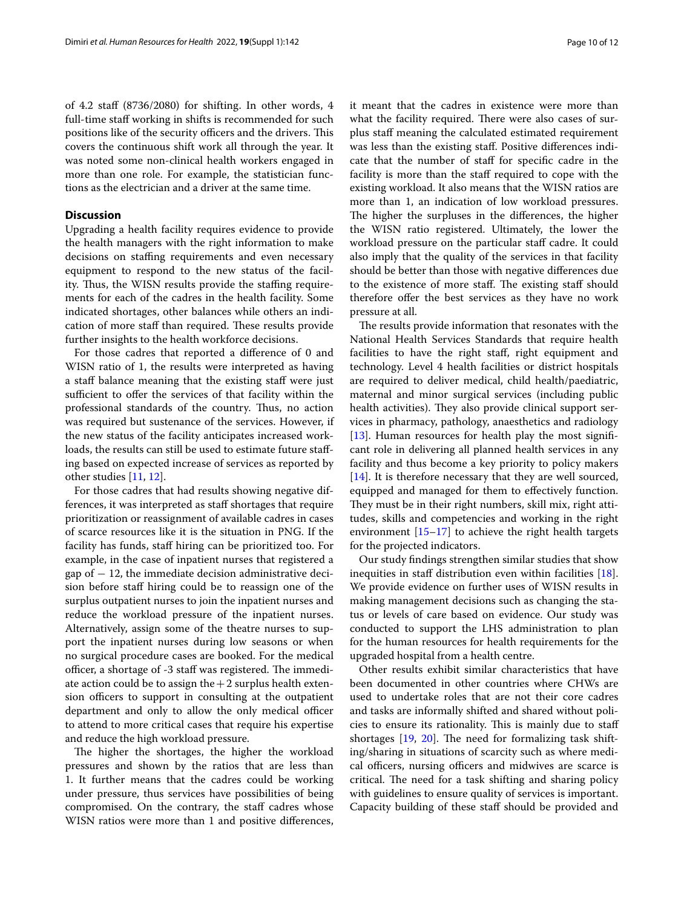of 4.2 staf (8736/2080) for shifting. In other words, 4 full-time staff working in shifts is recommended for such positions like of the security officers and the drivers. This covers the continuous shift work all through the year. It was noted some non-clinical health workers engaged in more than one role. For example, the statistician functions as the electrician and a driver at the same time.

#### **Discussion**

Upgrading a health facility requires evidence to provide the health managers with the right information to make decisions on staffing requirements and even necessary equipment to respond to the new status of the facility. Thus, the WISN results provide the staffing requirements for each of the cadres in the health facility. Some indicated shortages, other balances while others an indication of more staff than required. These results provide further insights to the health workforce decisions.

For those cadres that reported a diference of 0 and WISN ratio of 1, the results were interpreted as having a staff balance meaning that the existing staff were just sufficient to offer the services of that facility within the professional standards of the country. Thus, no action was required but sustenance of the services. However, if the new status of the facility anticipates increased workloads, the results can still be used to estimate future stafing based on expected increase of services as reported by other studies [[11,](#page-11-9) [12](#page-11-10)].

For those cadres that had results showing negative differences, it was interpreted as staff shortages that require prioritization or reassignment of available cadres in cases of scarce resources like it is the situation in PNG. If the facility has funds, staf hiring can be prioritized too. For example, in the case of inpatient nurses that registered a gap of  $-12$ , the immediate decision administrative decision before staff hiring could be to reassign one of the surplus outpatient nurses to join the inpatient nurses and reduce the workload pressure of the inpatient nurses. Alternatively, assign some of the theatre nurses to support the inpatient nurses during low seasons or when no surgical procedure cases are booked. For the medical officer, a shortage of -3 staff was registered. The immediate action could be to assign the  $+2$  surplus health extension officers to support in consulting at the outpatient department and only to allow the only medical officer to attend to more critical cases that require his expertise and reduce the high workload pressure.

The higher the shortages, the higher the workload pressures and shown by the ratios that are less than 1. It further means that the cadres could be working under pressure, thus services have possibilities of being compromised. On the contrary, the staff cadres whose WISN ratios were more than 1 and positive diferences,

it meant that the cadres in existence were more than what the facility required. There were also cases of surplus staf meaning the calculated estimated requirement was less than the existing staf. Positive diferences indicate that the number of staff for specific cadre in the facility is more than the staf required to cope with the existing workload. It also means that the WISN ratios are more than 1, an indication of low workload pressures. The higher the surpluses in the differences, the higher the WISN ratio registered. Ultimately, the lower the workload pressure on the particular staff cadre. It could also imply that the quality of the services in that facility should be better than those with negative diferences due to the existence of more staff. The existing staff should therefore offer the best services as they have no work

The results provide information that resonates with the National Health Services Standards that require health facilities to have the right staf, right equipment and technology. Level 4 health facilities or district hospitals are required to deliver medical, child health/paediatric, maternal and minor surgical services (including public health activities). They also provide clinical support services in pharmacy, pathology, anaesthetics and radiology [[13\]](#page-11-11). Human resources for health play the most significant role in delivering all planned health services in any facility and thus become a key priority to policy makers [[14\]](#page-11-12). It is therefore necessary that they are well sourced, equipped and managed for them to efectively function. They must be in their right numbers, skill mix, right attitudes, skills and competencies and working in the right environment [\[15–](#page-11-13)[17\]](#page-11-14) to achieve the right health targets for the projected indicators.

pressure at all.

Our study fndings strengthen similar studies that show inequities in staff distribution even within facilities [\[18](#page-11-15)]. We provide evidence on further uses of WISN results in making management decisions such as changing the status or levels of care based on evidence. Our study was conducted to support the LHS administration to plan for the human resources for health requirements for the upgraded hospital from a health centre.

Other results exhibit similar characteristics that have been documented in other countries where CHWs are used to undertake roles that are not their core cadres and tasks are informally shifted and shared without policies to ensure its rationality. This is mainly due to staff shortages  $[19, 20]$  $[19, 20]$  $[19, 20]$  $[19, 20]$ . The need for formalizing task shifting/sharing in situations of scarcity such as where medical officers, nursing officers and midwives are scarce is critical. The need for a task shifting and sharing policy with guidelines to ensure quality of services is important. Capacity building of these staf should be provided and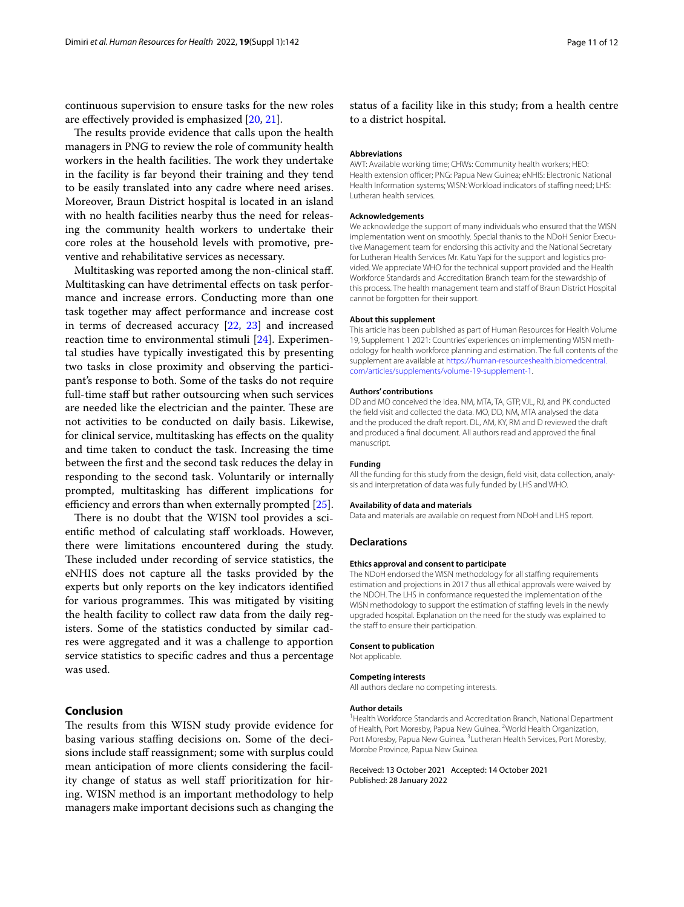continuous supervision to ensure tasks for the new roles are efectively provided is emphasized [[20,](#page-11-17) [21\]](#page-11-18).

The results provide evidence that calls upon the health managers in PNG to review the role of community health workers in the health facilities. The work they undertake in the facility is far beyond their training and they tend to be easily translated into any cadre where need arises. Moreover, Braun District hospital is located in an island with no health facilities nearby thus the need for releasing the community health workers to undertake their core roles at the household levels with promotive, preventive and rehabilitative services as necessary.

Multitasking was reported among the non-clinical staf. Multitasking can have detrimental efects on task performance and increase errors. Conducting more than one task together may afect performance and increase cost in terms of decreased accuracy [\[22,](#page-11-19) [23](#page-11-20)] and increased reaction time to environmental stimuli [[24\]](#page-11-21). Experimental studies have typically investigated this by presenting two tasks in close proximity and observing the participant's response to both. Some of the tasks do not require full-time staff but rather outsourcing when such services are needed like the electrician and the painter. These are not activities to be conducted on daily basis. Likewise, for clinical service, multitasking has efects on the quality and time taken to conduct the task. Increasing the time between the frst and the second task reduces the delay in responding to the second task. Voluntarily or internally prompted, multitasking has diferent implications for efficiency and errors than when externally prompted  $[25]$  $[25]$ .

There is no doubt that the WISN tool provides a scientific method of calculating staff workloads. However, there were limitations encountered during the study. These included under recording of service statistics, the eNHIS does not capture all the tasks provided by the experts but only reports on the key indicators identifed for various programmes. This was mitigated by visiting the health facility to collect raw data from the daily registers. Some of the statistics conducted by similar cadres were aggregated and it was a challenge to apportion service statistics to specifc cadres and thus a percentage was used.

#### **Conclusion**

The results from this WISN study provide evidence for basing various staffing decisions on. Some of the decisions include staff reassignment; some with surplus could mean anticipation of more clients considering the facility change of status as well staff prioritization for hiring. WISN method is an important methodology to help managers make important decisions such as changing the

status of a facility like in this study; from a health centre to a district hospital.

#### **Abbreviations**

AWT: Available working time; CHWs: Community health workers; HEO: Health extension officer; PNG: Papua New Guinea; eNHIS: Electronic National Health Information systems; WISN: Workload indicators of stafng need; LHS: Lutheran health services.

#### **Acknowledgements**

We acknowledge the support of many individuals who ensured that the WISN implementation went on smoothly. Special thanks to the NDoH Senior Executive Management team for endorsing this activity and the National Secretary for Lutheran Health Services Mr. Katu Yapi for the support and logistics provided. We appreciate WHO for the technical support provided and the Health Workforce Standards and Accreditation Branch team for the stewardship of this process. The health management team and staff of Braun District Hospital cannot be forgotten for their support.

#### **About this supplement**

This article has been published as part of Human Resources for Health Volume 19, Supplement 1 2021: Countries' experiences on implementing WISN methodology for health workforce planning and estimation. The full contents of the supplement are available at [https://human-resourceshealth.biomedcentral.](https://human-resourceshealth.biomedcentral.com/articles/supplements/volume-19-supplement-1) [com/articles/supplements/volume-19-supplement-1](https://human-resourceshealth.biomedcentral.com/articles/supplements/volume-19-supplement-1).

#### **Authors' contributions**

DD and MO conceived the idea. NM, MTA, TA, GTP, VJL, RJ, and PK conducted the feld visit and collected the data. MO, DD, NM, MTA analysed the data and the produced the draft report. DL, AM, KY, RM and D reviewed the draft and produced a fnal document. All authors read and approved the fnal manuscript.

#### **Funding**

All the funding for this study from the design, feld visit, data collection, analysis and interpretation of data was fully funded by LHS and WHO.

#### **Availability of data and materials**

Data and materials are available on request from NDoH and LHS report.

#### **Declarations**

#### **Ethics approval and consent to participate**

The NDoH endorsed the WISN methodology for all staffing requirements estimation and projections in 2017 thus all ethical approvals were waived by the NDOH. The LHS in conformance requested the implementation of the WISN methodology to support the estimation of staffing levels in the newly upgraded hospital. Explanation on the need for the study was explained to the staff to ensure their participation.

#### **Consent to publication**

Not applicable.

#### **Competing interests**

All authors declare no competing interests.

#### **Author details**

<sup>1</sup> Health Workforce Standards and Accreditation Branch, National Department of Health, Port Moresby, Papua New Guinea. <sup>2</sup> World Health Organization, Port Moresby, Papua New Guinea. <sup>3</sup> Lutheran Health Services, Port Moresby, Morobe Province, Papua New Guinea.

#### Received: 13 October 2021 Accepted: 14 October 2021 Published: 28 January 2022